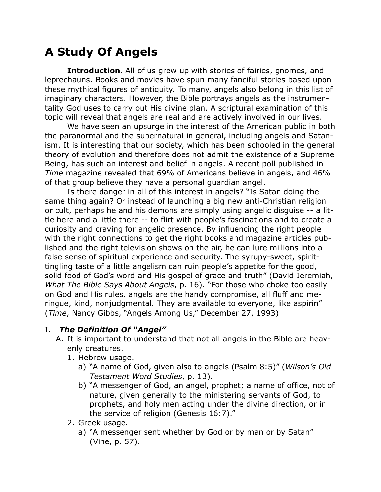# **A Study Of Angels**

**Introduction.** All of us grew up with stories of fairies, gnomes, and leprechauns. Books and movies have spun many fanciful stories based upon these mythical figures of antiquity. To many, angels also belong in this list of imaginary characters. However, the Bible portrays angels as the instrumentality God uses to carry out His divine plan. A scriptural examination of this topic will reveal that angels are real and are actively involved in our lives.

We have seen an upsurge in the interest of the American public in both the paranormal and the supernatural in general, including angels and Satanism. It is interesting that our society, which has been schooled in the general theory of evolution and therefore does not admit the existence of a Supreme Being, has such an interest and belief in angels. A recent poll published in *Time* magazine revealed that 69% of Americans believe in angels, and 46% of that group believe they have a personal guardian angel.

Is there danger in all of this interest in angels? "Is Satan doing the same thing again? Or instead of launching a big new anti-Christian religion or cult, perhaps he and his demons are simply using angelic disguise -- a little here and a little there -- to flirt with people's fascinations and to create a curiosity and craving for angelic presence. By influencing the right people with the right connections to get the right books and magazine articles published and the right television shows on the air, he can lure millions into a false sense of spiritual experience and security. The syrupy-sweet, spirittingling taste of a little angelism can ruin people's appetite for the good, solid food of God's word and His gospel of grace and truth" (David Jeremiah, *What The Bible Says About Angels*, p. 16). "For those who choke too easily on God and His rules, angels are the handy compromise, all fluff and meringue, kind, nonjudgmental. They are available to everyone, like aspirin" (*Time*, Nancy Gibbs, "Angels Among Us," December 27, 1993).

### I. *The Definition Of "Angel"*

- A. It is important to understand that not all angels in the Bible are heavenly creatures.
	- 1. Hebrew usage.
		- a) "A name of God, given also to angels (Psalm 8:5)" (*Wilson's Old Testament Word Studies*, p. 13).
		- b) "A messenger of God, an angel, prophet; a name of office, not of nature, given generally to the ministering servants of God, to prophets, and holy men acting under the divine direction, or in the service of religion (Genesis 16:7)."
	- 2. Greek usage.
		- a) "A messenger sent whether by God or by man or by Satan" (Vine, p. 57).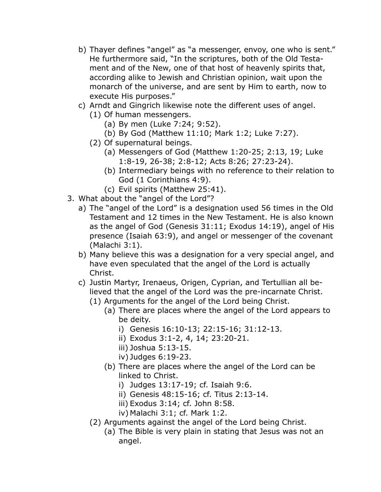- b) Thayer defines "angel" as "a messenger, envoy, one who is sent." He furthermore said, "In the scriptures, both of the Old Testament and of the New, one of that host of heavenly spirits that, according alike to Jewish and Christian opinion, wait upon the monarch of the universe, and are sent by Him to earth, now to execute His purposes."
- c) Arndt and Gingrich likewise note the different uses of angel.
	- (1) Of human messengers.
		- (a) By men (Luke 7:24; 9:52).
		- (b) By God (Matthew 11:10; Mark 1:2; Luke 7:27).
	- (2) Of supernatural beings.
		- (a) Messengers of God (Matthew 1:20-25; 2:13, 19; Luke 1:8-19, 26-38; 2:8-12; Acts 8:26; 27:23-24).
		- (b) Intermediary beings with no reference to their relation to God (1 Corinthians 4:9).
		- (c) Evil spirits (Matthew 25:41).
- 3. What about the "angel of the Lord"?
	- a) The "angel of the Lord" is a designation used 56 times in the Old Testament and 12 times in the New Testament. He is also known as the angel of God (Genesis 31:11; Exodus 14:19), angel of His presence (Isaiah 63:9), and angel or messenger of the covenant (Malachi 3:1).
	- b) Many believe this was a designation for a very special angel, and have even speculated that the angel of the Lord is actually Christ.
	- c) Justin Martyr, Irenaeus, Origen, Cyprian, and Tertullian all believed that the angel of the Lord was the pre-incarnate Christ.
		- (1) Arguments for the angel of the Lord being Christ.
			- (a) There are places where the angel of the Lord appears to be deity.
				- i) Genesis 16:10-13; 22:15-16; 31:12-13.
				- ii) Exodus 3:1-2, 4, 14; 23:20-21.
				- iii) Joshua 5:13-15.
				- iv) Judges 6:19-23.
			- (b) There are places where the angel of the Lord can be linked to Christ.
				- i) Judges 13:17-19; cf. Isaiah 9:6.
				- ii) Genesis 48:15-16; cf. Titus 2:13-14.
				- iii) Exodus 3:14; cf. John 8:58.
				- iv) Malachi 3:1; cf. Mark 1:2.
		- (2) Arguments against the angel of the Lord being Christ.
			- (a) The Bible is very plain in stating that Jesus was not an angel.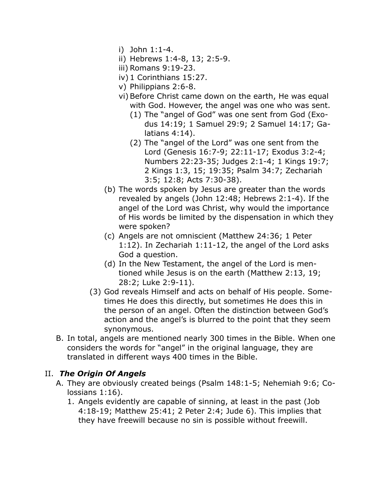- i) John 1:1-4.
- ii) Hebrews 1:4-8, 13; 2:5-9.
- iii) Romans 9:19-23.
- iv) 1 Corinthians 15:27.
- v) Philippians 2:6-8.
- vi) Before Christ came down on the earth, He was equal with God. However, the angel was one who was sent.
	- (1) The "angel of God" was one sent from God (Exodus 14:19; 1 Samuel 29:9; 2 Samuel 14:17; Galatians 4:14).
	- (2) The "angel of the Lord" was one sent from the Lord (Genesis 16:7-9; 22:11-17; Exodus 3:2-4; Numbers 22:23-35; Judges 2:1-4; 1 Kings 19:7; 2 Kings 1:3, 15; 19:35; Psalm 34:7; Zechariah 3:5; 12:8; Acts 7:30-38).
- (b) The words spoken by Jesus are greater than the words revealed by angels (John 12:48; Hebrews 2:1-4). If the angel of the Lord was Christ, why would the importance of His words be limited by the dispensation in which they were spoken?
- (c) Angels are not omniscient (Matthew 24:36; 1 Peter 1:12). In Zechariah 1:11-12, the angel of the Lord asks God a question.
- (d) In the New Testament, the angel of the Lord is mentioned while Jesus is on the earth (Matthew 2:13, 19; 28:2; Luke 2:9-11).
- (3) God reveals Himself and acts on behalf of His people. Sometimes He does this directly, but sometimes He does this in the person of an angel. Often the distinction between God's action and the angel's is blurred to the point that they seem synonymous.
- B. In total, angels are mentioned nearly 300 times in the Bible. When one considers the words for "angel" in the original language, they are translated in different ways 400 times in the Bible.

#### II. *The Origin Of Angels*

- A. They are obviously created beings (Psalm 148:1-5; Nehemiah 9:6; Colossians 1:16).
	- 1. Angels evidently are capable of sinning, at least in the past (Job 4:18-19; Matthew 25:41; 2 Peter 2:4; Jude 6). This implies that they have freewill because no sin is possible without freewill.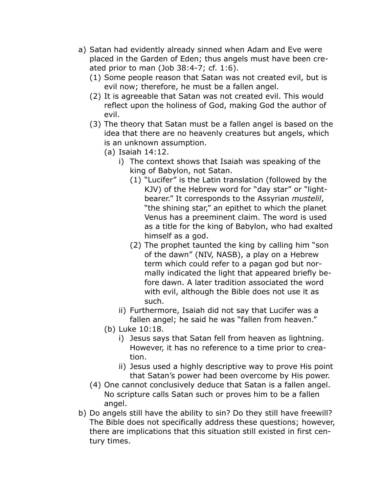- a) Satan had evidently already sinned when Adam and Eve were placed in the Garden of Eden; thus angels must have been created prior to man (Job 38:4-7; cf. 1:6).
	- (1) Some people reason that Satan was not created evil, but is evil now; therefore, he must be a fallen angel.
	- (2) It is agreeable that Satan was not created evil. This would reflect upon the holiness of God, making God the author of evil.
	- (3) The theory that Satan must be a fallen angel is based on the idea that there are no heavenly creatures but angels, which is an unknown assumption.
		- (a) Isaiah 14:12.
			- i) The context shows that Isaiah was speaking of the king of Babylon, not Satan.
				- (1) "Lucifer" is the Latin translation (followed by the KJV) of the Hebrew word for "day star" or "lightbearer." It corresponds to the Assyrian *mustelil*, "the shining star," an epithet to which the planet Venus has a preeminent claim. The word is used as a title for the king of Babylon, who had exalted himself as a god.
				- (2) The prophet taunted the king by calling him "son of the dawn" (NIV, NASB), a play on a Hebrew term which could refer to a pagan god but normally indicated the light that appeared briefly before dawn. A later tradition associated the word with evil, although the Bible does not use it as such.
			- ii) Furthermore, Isaiah did not say that Lucifer was a fallen angel; he said he was "fallen from heaven."
		- (b) Luke 10:18.
			- i) Jesus says that Satan fell from heaven as lightning. However, it has no reference to a time prior to creation.
			- ii) Jesus used a highly descriptive way to prove His point that Satan's power had been overcome by His power.
	- (4) One cannot conclusively deduce that Satan is a fallen angel. No scripture calls Satan such or proves him to be a fallen angel.
- b) Do angels still have the ability to sin? Do they still have freewill? The Bible does not specifically address these questions; however, there are implications that this situation still existed in first century times.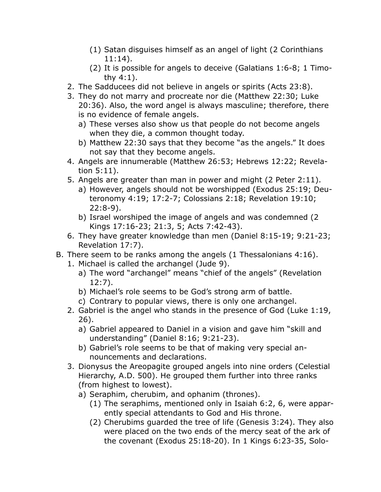- (1) Satan disguises himself as an angel of light (2 Corinthians 11:14).
- (2) It is possible for angels to deceive (Galatians 1:6-8; 1 Timothy 4:1).
- 2. The Sadducees did not believe in angels or spirits (Acts 23:8).
- 3. They do not marry and procreate nor die (Matthew 22:30; Luke 20:36). Also, the word angel is always masculine; therefore, there is no evidence of female angels.
	- a) These verses also show us that people do not become angels when they die, a common thought today.
	- b) Matthew 22:30 says that they become "as the angels." It does not say that they become angels.
- 4. Angels are innumerable (Matthew 26:53; Hebrews 12:22; Revelation 5:11).
- 5. Angels are greater than man in power and might (2 Peter 2:11).
	- a) However, angels should not be worshipped (Exodus 25:19; Deuteronomy 4:19; 17:2-7; Colossians 2:18; Revelation 19:10; 22:8-9).
	- b) Israel worshiped the image of angels and was condemned (2 Kings 17:16-23; 21:3, 5; Acts 7:42-43).
- 6. They have greater knowledge than men (Daniel 8:15-19; 9:21-23; Revelation 17:7).
- B. There seem to be ranks among the angels (1 Thessalonians 4:16).
	- 1. Michael is called the archangel (Jude 9).
		- a) The word "archangel" means "chief of the angels" (Revelation 12:7).
		- b) Michael's role seems to be God's strong arm of battle.
		- c) Contrary to popular views, there is only one archangel.
	- 2. Gabriel is the angel who stands in the presence of God (Luke 1:19, 26).
		- a) Gabriel appeared to Daniel in a vision and gave him "skill and understanding" (Daniel 8:16; 9:21-23).
		- b) Gabriel's role seems to be that of making very special announcements and declarations.
	- 3. Dionysus the Areopagite grouped angels into nine orders (Celestial Hierarchy, A.D. 500). He grouped them further into three ranks (from highest to lowest).
		- a) Seraphim, cherubim, and ophanim (thrones).
			- (1) The seraphims, mentioned only in Isaiah 6:2, 6, were apparently special attendants to God and His throne.
			- (2) Cherubims guarded the tree of life (Genesis 3:24). They also were placed on the two ends of the mercy seat of the ark of the covenant (Exodus 25:18-20). In 1 Kings 6:23-35, Solo-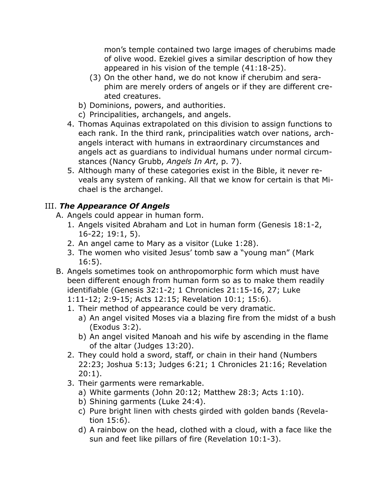mon's temple contained two large images of cherubims made of olive wood. Ezekiel gives a similar description of how they appeared in his vision of the temple (41:18-25).

- (3) On the other hand, we do not know if cherubim and seraphim are merely orders of angels or if they are different created creatures.
- b) Dominions, powers, and authorities.
- c) Principalities, archangels, and angels.
- 4. Thomas Aquinas extrapolated on this division to assign functions to each rank. In the third rank, principalities watch over nations, archangels interact with humans in extraordinary circumstances and angels act as guardians to individual humans under normal circumstances (Nancy Grubb, *Angels In Art*, p. 7).
- 5. Although many of these categories exist in the Bible, it never reveals any system of ranking. All that we know for certain is that Michael is the archangel.

# III. *The Appearance Of Angels*

- A. Angels could appear in human form.
	- 1. Angels visited Abraham and Lot in human form (Genesis 18:1-2, 16-22; 19:1, 5).
	- 2. An angel came to Mary as a visitor (Luke 1:28).
	- 3. The women who visited Jesus' tomb saw a "young man" (Mark 16:5).
- B. Angels sometimes took on anthropomorphic form which must have been different enough from human form so as to make them readily identifiable (Genesis 32:1-2; 1 Chronicles 21:15-16, 27; Luke 1:11-12; 2:9-15; Acts 12:15; Revelation 10:1; 15:6).
	- 1. Their method of appearance could be very dramatic.
		- a) An angel visited Moses via a blazing fire from the midst of a bush (Exodus 3:2).
		- b) An angel visited Manoah and his wife by ascending in the flame of the altar (Judges 13:20).
	- 2. They could hold a sword, staff, or chain in their hand (Numbers 22:23; Joshua 5:13; Judges 6:21; 1 Chronicles 21:16; Revelation 20:1).
	- 3. Their garments were remarkable.
		- a) White garments (John 20:12; Matthew 28:3; Acts 1:10).
		- b) Shining garments (Luke 24:4).
		- c) Pure bright linen with chests girded with golden bands (Revelation 15:6).
		- d) A rainbow on the head, clothed with a cloud, with a face like the sun and feet like pillars of fire (Revelation 10:1-3).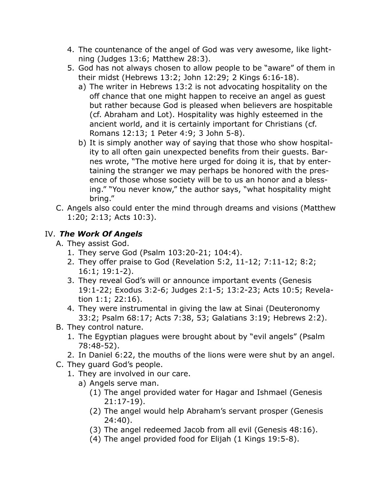- 4. The countenance of the angel of God was very awesome, like lightning (Judges 13:6; Matthew 28:3).
- 5. God has not always chosen to allow people to be "aware" of them in their midst (Hebrews 13:2; John 12:29; 2 Kings 6:16-18).
	- a) The writer in Hebrews 13:2 is not advocating hospitality on the off chance that one might happen to receive an angel as guest but rather because God is pleased when believers are hospitable (cf. Abraham and Lot). Hospitality was highly esteemed in the ancient world, and it is certainly important for Christians (cf. Romans 12:13; 1 Peter 4:9; 3 John 5-8).
	- b) It is simply another way of saying that those who show hospitality to all often gain unexpected benefits from their guests. Barnes wrote, "The motive here urged for doing it is, that by entertaining the stranger we may perhaps be honored with the presence of those whose society will be to us an honor and a blessing." "You never know," the author says, "what hospitality might bring."
- C. Angels also could enter the mind through dreams and visions (Matthew 1:20; 2:13; Acts 10:3).

## IV. *The Work Of Angels*

- A. They assist God.
	- 1. They serve God (Psalm 103:20-21; 104:4).
	- 2. They offer praise to God (Revelation 5:2, 11-12; 7:11-12; 8:2; 16:1; 19:1-2).
	- 3. They reveal God's will or announce important events (Genesis 19:1-22; Exodus 3:2-6; Judges 2:1-5; 13:2-23; Acts 10:5; Revelation 1:1; 22:16).
	- 4. They were instrumental in giving the law at Sinai (Deuteronomy 33:2; Psalm 68:17; Acts 7:38, 53; Galatians 3:19; Hebrews 2:2).
- B. They control nature.
	- 1. The Egyptian plagues were brought about by "evil angels" (Psalm 78:48-52).
	- 2. In Daniel 6:22, the mouths of the lions were were shut by an angel.
- C. They guard God's people.
	- 1. They are involved in our care.
		- a) Angels serve man.
			- (1) The angel provided water for Hagar and Ishmael (Genesis 21:17-19).
			- (2) The angel would help Abraham's servant prosper (Genesis 24:40).
			- (3) The angel redeemed Jacob from all evil (Genesis 48:16).
			- (4) The angel provided food for Elijah (1 Kings 19:5-8).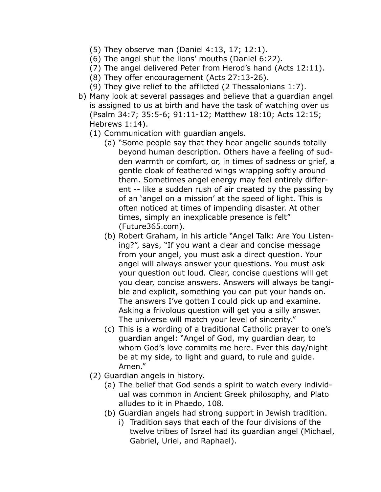- (5) They observe man (Daniel 4:13, 17; 12:1).
- (6) The angel shut the lions' mouths (Daniel 6:22).
- (7) The angel delivered Peter from Herod's hand (Acts 12:11).
- (8) They offer encouragement (Acts 27:13-26).
- (9) They give relief to the afflicted (2 Thessalonians 1:7).
- b) Many look at several passages and believe that a guardian angel is assigned to us at birth and have the task of watching over us (Psalm 34:7; 35:5-6; 91:11-12; Matthew 18:10; Acts 12:15; Hebrews 1:14).
	- (1) Communication with guardian angels.
		- (a) "Some people say that they hear angelic sounds totally beyond human description. Others have a feeling of sudden warmth or comfort, or, in times of sadness or grief, a gentle cloak of feathered wings wrapping softly around them. Sometimes angel energy may feel entirely different -- like a sudden rush of air created by the passing by of an 'angel on a mission' at the speed of light. This is often noticed at times of impending disaster. At other times, simply an inexplicable presence is felt" (Future365.com).
		- (b) Robert Graham, in his article "Angel Talk: Are You Listening?", says, "If you want a clear and concise message from your angel, you must ask a direct question. Your angel will always answer your questions. You must ask your question out loud. Clear, concise questions will get you clear, concise answers. Answers will always be tangible and explicit, something you can put your hands on. The answers I've gotten I could pick up and examine. Asking a frivolous question will get you a silly answer. The universe will match your level of sincerity."
		- (c) This is a wording of a traditional Catholic prayer to one's guardian angel: "Angel of God, my guardian dear, to whom God's love commits me here. Ever this day/night be at my side, to light and guard, to rule and guide. Amen."
	- (2) Guardian angels in history.
		- (a) The belief that God sends a spirit to watch every individual was common in Ancient Greek philosophy, and Plato alludes to it in Phaedo, 108.
		- (b) Guardian angels had strong support in Jewish tradition.
			- i) Tradition says that each of the four divisions of the twelve tribes of Israel had its guardian angel (Michael, Gabriel, Uriel, and Raphael).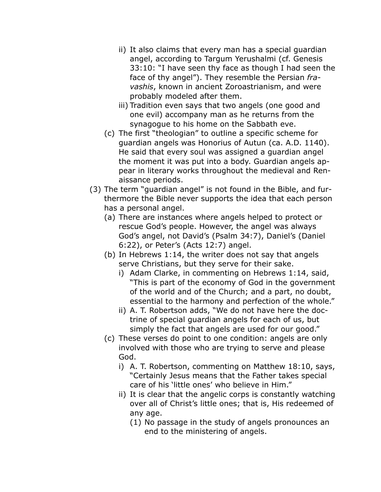- ii) It also claims that every man has a special guardian angel, according to Targum Yerushalmi (cf. Genesis 33:10: "I have seen thy face as though I had seen the face of thy angel"). They resemble the Persian *fravashis*, known in ancient Zoroastrianism, and were probably modeled after them.
- iii) Tradition even says that two angels (one good and one evil) accompany man as he returns from the synagogue to his home on the Sabbath eve.
- (c) The first "theologian" to outline a specific scheme for guardian angels was Honorius of Autun (ca. A.D. 1140). He said that every soul was assigned a guardian angel the moment it was put into a body. Guardian angels appear in literary works throughout the medieval and Renaissance periods.
- (3) The term "guardian angel" is not found in the Bible, and furthermore the Bible never supports the idea that each person has a personal angel.
	- (a) There are instances where angels helped to protect or rescue God's people. However, the angel was always God's angel, not David's (Psalm 34:7), Daniel's (Daniel 6:22), or Peter's (Acts 12:7) angel.
	- (b) In Hebrews 1:14, the writer does not say that angels serve Christians, but they serve for their sake.
		- i) Adam Clarke, in commenting on Hebrews 1:14, said, "This is part of the economy of God in the government of the world and of the Church; and a part, no doubt, essential to the harmony and perfection of the whole."
		- ii) A. T. Robertson adds, "We do not have here the doctrine of special guardian angels for each of us, but simply the fact that angels are used for our good."
	- (c) These verses do point to one condition: angels are only involved with those who are trying to serve and please God.
		- i) A. T. Robertson, commenting on Matthew 18:10, says, "Certainly Jesus means that the Father takes special care of his 'little ones' who believe in Him."
		- ii) It is clear that the angelic corps is constantly watching over all of Christ's little ones; that is, His redeemed of any age.
			- (1) No passage in the study of angels pronounces an end to the ministering of angels.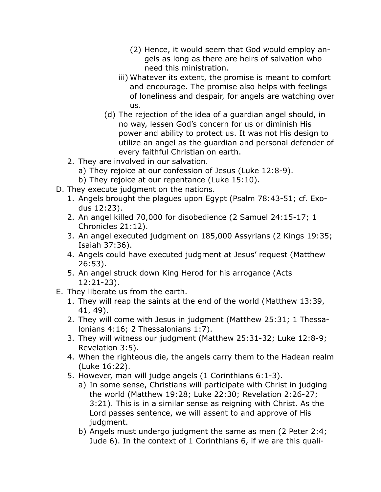- (2) Hence, it would seem that God would employ angels as long as there are heirs of salvation who need this ministration.
- iii) Whatever its extent, the promise is meant to comfort and encourage. The promise also helps with feelings of loneliness and despair, for angels are watching over us.
- (d) The rejection of the idea of a guardian angel should, in no way, lessen God's concern for us or diminish His power and ability to protect us. It was not His design to utilize an angel as the guardian and personal defender of every faithful Christian on earth.
- 2. They are involved in our salvation.
	- a) They rejoice at our confession of Jesus (Luke 12:8-9).
	- b) They rejoice at our repentance (Luke 15:10).
- D. They execute judgment on the nations.
	- 1. Angels brought the plagues upon Egypt (Psalm 78:43-51; cf. Exodus 12:23).
	- 2. An angel killed 70,000 for disobedience (2 Samuel 24:15-17; 1 Chronicles 21:12).
	- 3. An angel executed judgment on 185,000 Assyrians (2 Kings 19:35; Isaiah 37:36).
	- 4. Angels could have executed judgment at Jesus' request (Matthew 26:53).
	- 5. An angel struck down King Herod for his arrogance (Acts 12:21-23).
- E. They liberate us from the earth.
	- 1. They will reap the saints at the end of the world (Matthew 13:39, 41, 49).
	- 2. They will come with Jesus in judgment (Matthew 25:31; 1 Thessalonians 4:16; 2 Thessalonians 1:7).
	- 3. They will witness our judgment (Matthew 25:31-32; Luke 12:8-9; Revelation 3:5).
	- 4. When the righteous die, the angels carry them to the Hadean realm (Luke 16:22).
	- 5. However, man will judge angels (1 Corinthians 6:1-3).
		- a) In some sense, Christians will participate with Christ in judging the world (Matthew 19:28; Luke 22:30; Revelation 2:26-27; 3:21). This is in a similar sense as reigning with Christ. As the Lord passes sentence, we will assent to and approve of His judgment.
		- b) Angels must undergo judgment the same as men (2 Peter 2:4; Jude 6). In the context of 1 Corinthians 6, if we are this quali-